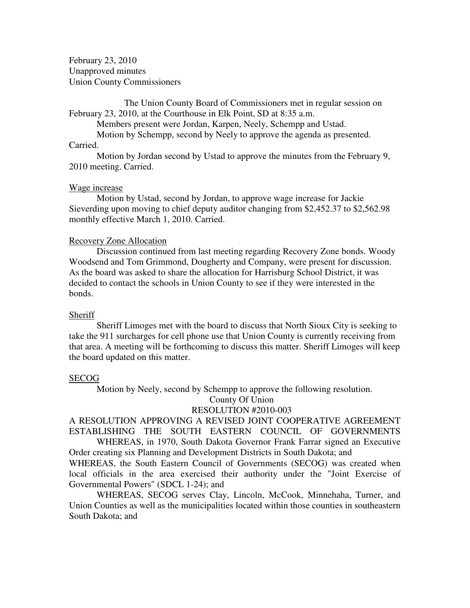February 23, 2010 Unapproved minutes Union County Commissioners

 The Union County Board of Commissioners met in regular session on February 23, 2010, at the Courthouse in Elk Point, SD at 8:35 a.m.

Members present were Jordan, Karpen, Neely, Schempp and Ustad.

Motion by Schempp, second by Neely to approve the agenda as presented.

### Carried.

 Motion by Jordan second by Ustad to approve the minutes from the February 9, 2010 meeting. Carried.

### Wage increase

 Motion by Ustad, second by Jordan, to approve wage increase for Jackie Sieverding upon moving to chief deputy auditor changing from \$2,452.37 to \$2,562.98 monthly effective March 1, 2010. Carried.

### Recovery Zone Allocation

 Discussion continued from last meeting regarding Recovery Zone bonds. Woody Woodsend and Tom Grimmond, Dougherty and Company, were present for discussion. As the board was asked to share the allocation for Harrisburg School District, it was decided to contact the schools in Union County to see if they were interested in the bonds.

### **Sheriff**

 Sheriff Limoges met with the board to discuss that North Sioux City is seeking to take the 911 surcharges for cell phone use that Union County is currently receiving from that area. A meeting will be forthcoming to discuss this matter. Sheriff Limoges will keep the board updated on this matter.

#### SECOG

Motion by Neely, second by Schempp to approve the following resolution.

# County Of Union

## RESOLUTION #2010-003

A RESOLUTION APPROVING A REVISED JOINT COOPERATIVE AGREEMENT ESTABLISHING THE SOUTH EASTERN COUNCIL OF GOVERNMENTS

 WHEREAS, in 1970, South Dakota Governor Frank Farrar signed an Executive Order creating six Planning and Development Districts in South Dakota; and

WHEREAS, the South Eastern Council of Governments (SECOG) was created when local officials in the area exercised their authority under the "Joint Exercise of Governmental Powers" (SDCL 1-24); and

WHEREAS, SECOG serves Clay, Lincoln, McCook, Minnehaha, Turner, and Union Counties as well as the municipalities located within those counties in southeastern South Dakota; and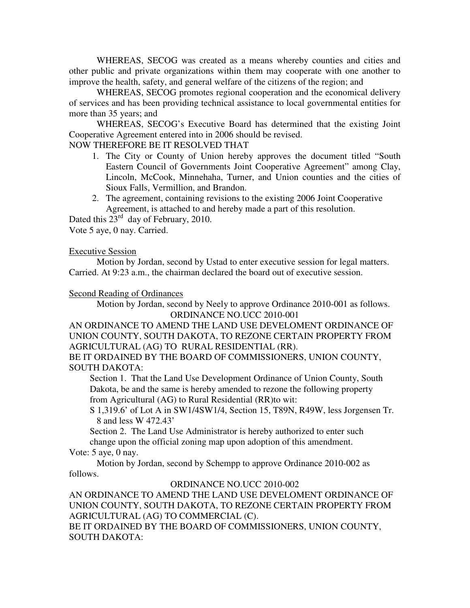WHEREAS, SECOG was created as a means whereby counties and cities and other public and private organizations within them may cooperate with one another to improve the health, safety, and general welfare of the citizens of the region; and

WHEREAS, SECOG promotes regional cooperation and the economical delivery of services and has been providing technical assistance to local governmental entities for more than 35 years; and

WHEREAS, SECOG's Executive Board has determined that the existing Joint Cooperative Agreement entered into in 2006 should be revised.

## NOW THEREFORE BE IT RESOLVED THAT

- 1. The City or County of Union hereby approves the document titled "South Eastern Council of Governments Joint Cooperative Agreement" among Clay, Lincoln, McCook, Minnehaha, Turner, and Union counties and the cities of Sioux Falls, Vermillion, and Brandon.
- 2. The agreement, containing revisions to the existing 2006 Joint Cooperative Agreement, is attached to and hereby made a part of this resolution.

Dated this  $23^{\text{rd}}$  day of February, 2010.

Vote 5 aye, 0 nay. Carried.

## Executive Session

 Motion by Jordan, second by Ustad to enter executive session for legal matters. Carried. At 9:23 a.m., the chairman declared the board out of executive session.

## Second Reading of Ordinances

 Motion by Jordan, second by Neely to approve Ordinance 2010-001 as follows. ORDINANCE NO.UCC 2010-001

AN ORDINANCE TO AMEND THE LAND USE DEVELOMENT ORDINANCE OF UNION COUNTY, SOUTH DAKOTA, TO REZONE CERTAIN PROPERTY FROM AGRICULTURAL (AG) TO RURAL RESIDENTIAL (RR).

BE IT ORDAINED BY THE BOARD OF COMMISSIONERS, UNION COUNTY, SOUTH DAKOTA:

 Section 1. That the Land Use Development Ordinance of Union County, South Dakota, be and the same is hereby amended to rezone the following property from Agricultural (AG) to Rural Residential (RR)to wit:

 S 1,319.6' of Lot A in SW1/4SW1/4, Section 15, T89N, R49W, less Jorgensen Tr. 8 and less W 472.43'

 Section 2. The Land Use Administrator is hereby authorized to enter such change upon the official zoning map upon adoption of this amendment.

Vote: 5 aye, 0 nay.

 Motion by Jordan, second by Schempp to approve Ordinance 2010-002 as follows.

## ORDINANCE NO.UCC 2010-002

AN ORDINANCE TO AMEND THE LAND USE DEVELOMENT ORDINANCE OF UNION COUNTY, SOUTH DAKOTA, TO REZONE CERTAIN PROPERTY FROM AGRICULTURAL (AG) TO COMMERCIAL (C).

BE IT ORDAINED BY THE BOARD OF COMMISSIONERS, UNION COUNTY, SOUTH DAKOTA: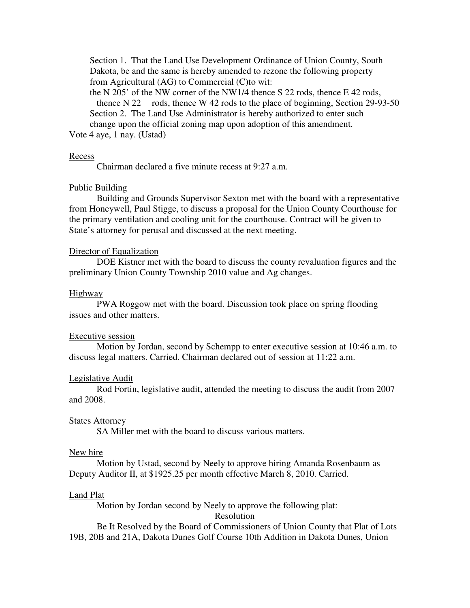Section 1. That the Land Use Development Ordinance of Union County, South Dakota, be and the same is hereby amended to rezone the following property from Agricultural (AG) to Commercial (C)to wit:

 the N 205' of the NW corner of the NW1/4 thence S 22 rods, thence E 42 rods, thence N 22 rods, thence W 42 rods to the place of beginning, Section 29-93-50 Section 2. The Land Use Administrator is hereby authorized to enter such

 change upon the official zoning map upon adoption of this amendment. Vote 4 aye, 1 nay. (Ustad)

#### **Recess**

Chairman declared a five minute recess at 9:27 a.m.

### Public Building

 Building and Grounds Supervisor Sexton met with the board with a representative from Honeywell, Paul Stigge, to discuss a proposal for the Union County Courthouse for the primary ventilation and cooling unit for the courthouse. Contract will be given to State's attorney for perusal and discussed at the next meeting.

#### Director of Equalization

 DOE Kistner met with the board to discuss the county revaluation figures and the preliminary Union County Township 2010 value and Ag changes.

#### Highway

 PWA Roggow met with the board. Discussion took place on spring flooding issues and other matters.

#### Executive session

 Motion by Jordan, second by Schempp to enter executive session at 10:46 a.m. to discuss legal matters. Carried. Chairman declared out of session at 11:22 a.m.

#### Legislative Audit

 Rod Fortin, legislative audit, attended the meeting to discuss the audit from 2007 and 2008.

#### **States Attorney**

SA Miller met with the board to discuss various matters.

### New hire

 Motion by Ustad, second by Neely to approve hiring Amanda Rosenbaum as Deputy Auditor II, at \$1925.25 per month effective March 8, 2010. Carried.

### Land Plat

Motion by Jordan second by Neely to approve the following plat:

### Resolution

 Be It Resolved by the Board of Commissioners of Union County that Plat of Lots 19B, 20B and 21A, Dakota Dunes Golf Course 10th Addition in Dakota Dunes, Union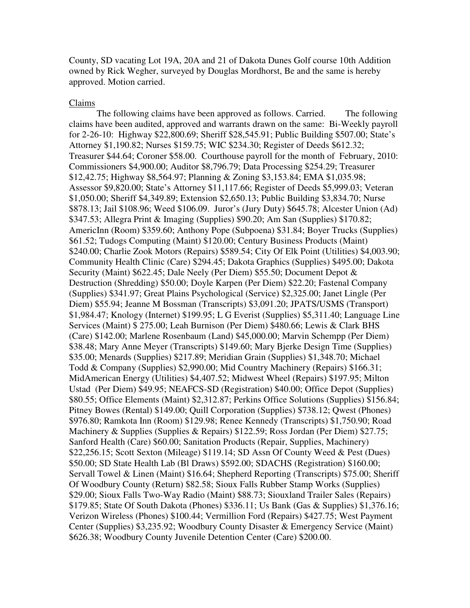County, SD vacating Lot 19A, 20A and 21 of Dakota Dunes Golf course 10th Addition owned by Rick Wegher, surveyed by Douglas Mordhorst, Be and the same is hereby approved. Motion carried.

#### Claims

 The following claims have been approved as follows. Carried. The following claims have been audited, approved and warrants drawn on the same: Bi-Weekly payroll for 2-26-10: Highway \$22,800.69; Sheriff \$28,545.91; Public Building \$507.00; State's Attorney \$1,190.82; Nurses \$159.75; WIC \$234.30; Register of Deeds \$612.32; Treasurer \$44.64; Coroner \$58.00. Courthouse payroll for the month of February, 2010: Commissioners \$4,900.00; Auditor \$8,796.79; Data Processing \$254.29; Treasurer \$12,42.75; Highway \$8,564.97; Planning & Zoning \$3,153.84; EMA \$1,035.98; Assessor \$9,820.00; State's Attorney \$11,117.66; Register of Deeds \$5,999.03; Veteran \$1,050.00; Sheriff \$4,349.89; Extension \$2,650.13; Public Building \$3,834.70; Nurse \$878.13; Jail \$108.96; Weed \$106.09. Juror's (Jury Duty) \$645.78; Alcester Union (Ad) \$347.53; Allegra Print & Imaging (Supplies) \$90.20; Am San (Supplies) \$170.82; AmericInn (Room) \$359.60; Anthony Pope (Subpoena) \$31.84; Boyer Trucks (Supplies) \$61.52; Tudogs Computing (Maint) \$120.00; Century Business Products (Maint) \$240.00; Charlie Zook Motors (Repairs) \$589.54; City Of Elk Point (Utilities) \$4,003.90; Community Health Clinic (Care) \$294.45; Dakota Graphics (Supplies) \$495.00; Dakota Security (Maint) \$622.45; Dale Neely (Per Diem) \$55.50; Document Depot & Destruction (Shredding) \$50.00; Doyle Karpen (Per Diem) \$22.20; Fastenal Company (Supplies) \$341.97; Great Plains Psychological (Service) \$2,325.00; Janet Lingle (Per Diem) \$55.94; Jeanne M Bossman (Transcripts) \$3,091.20; JPATS/USMS (Transport) \$1,984.47; Knology (Internet) \$199.95; L G Everist (Supplies) \$5,311.40; Language Line Services (Maint) \$ 275.00; Leah Burnison (Per Diem) \$480.66; Lewis & Clark BHS (Care) \$142.00; Marlene Rosenbaum (Land) \$45,000.00; Marvin Schempp (Per Diem) \$38.48; Mary Anne Meyer (Transcripts) \$149.60; Mary Bjerke Design Time (Supplies) \$35.00; Menards (Supplies) \$217.89; Meridian Grain (Supplies) \$1,348.70; Michael Todd & Company (Supplies) \$2,990.00; Mid Country Machinery (Repairs) \$166.31; MidAmerican Energy (Utilities) \$4,407.52; Midwest Wheel (Repairs) \$197.95; Milton Ustad (Per Diem) \$49.95; NEAFCS-SD (Registration) \$40.00; Office Depot (Supplies) \$80.55; Office Elements (Maint) \$2,312.87; Perkins Office Solutions (Supplies) \$156.84; Pitney Bowes (Rental) \$149.00; Quill Corporation (Supplies) \$738.12; Qwest (Phones) \$976.80; Ramkota Inn (Room) \$129.98; Renee Kennedy (Transcripts) \$1,750.90; Road Machinery & Supplies (Supplies & Repairs) \$122.59; Ross Jordan (Per Diem) \$27.75; Sanford Health (Care) \$60.00; Sanitation Products (Repair, Supplies, Machinery) \$22,256.15; Scott Sexton (Mileage) \$119.14; SD Assn Of County Weed & Pest (Dues) \$50.00; SD State Health Lab (Bl Draws) \$592.00; SDACHS (Registration) \$160.00; Servall Towel & Linen (Maint) \$16.64; Shepherd Reporting (Transcripts) \$75.00; Sheriff Of Woodbury County (Return) \$82.58; Sioux Falls Rubber Stamp Works (Supplies) \$29.00; Sioux Falls Two-Way Radio (Maint) \$88.73; Siouxland Trailer Sales (Repairs) \$179.85; State Of South Dakota (Phones) \$336.11; Us Bank (Gas & Supplies) \$1,376.16; Verizon Wireless (Phones) \$100.44; Vermillion Ford (Repairs) \$427.75; West Payment Center (Supplies) \$3,235.92; Woodbury County Disaster & Emergency Service (Maint) \$626.38; Woodbury County Juvenile Detention Center (Care) \$200.00.